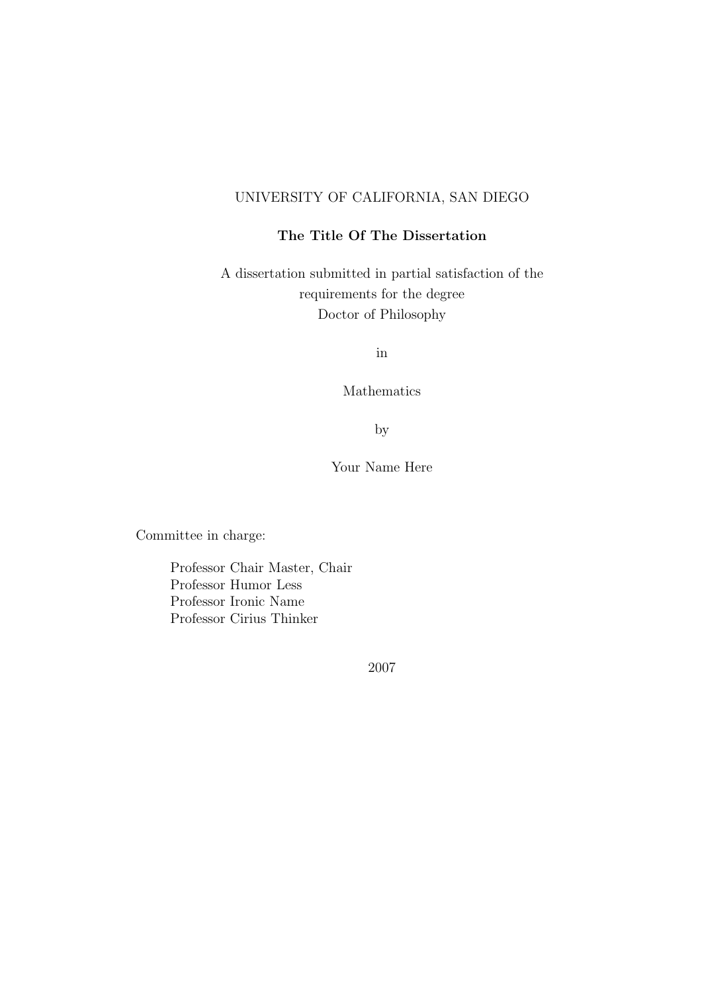#### UNIVERSITY OF CALIFORNIA, SAN DIEGO

#### The Title Of The Dissertation

A dissertation submitted in partial satisfaction of the requirements for the degree Doctor of Philosophy

in

Mathematics

by

Your Name Here

Committee in charge:

Professor Chair Master, Chair Professor Humor Less Professor Ironic Name Professor Cirius Thinker

2007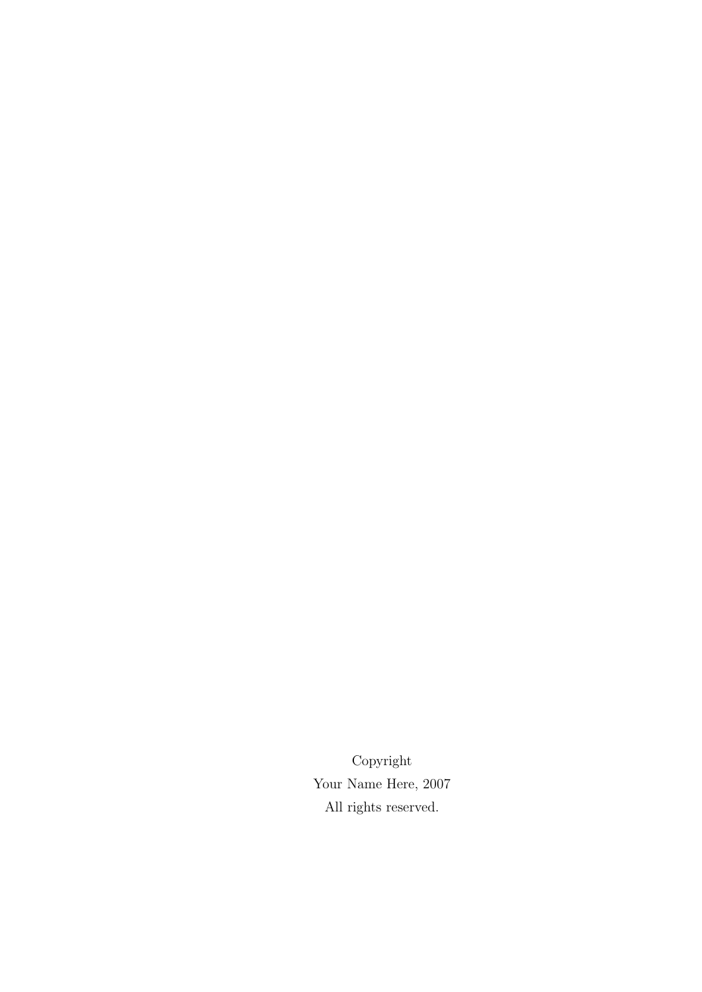Copyright Your Name Here, 2007 All rights reserved.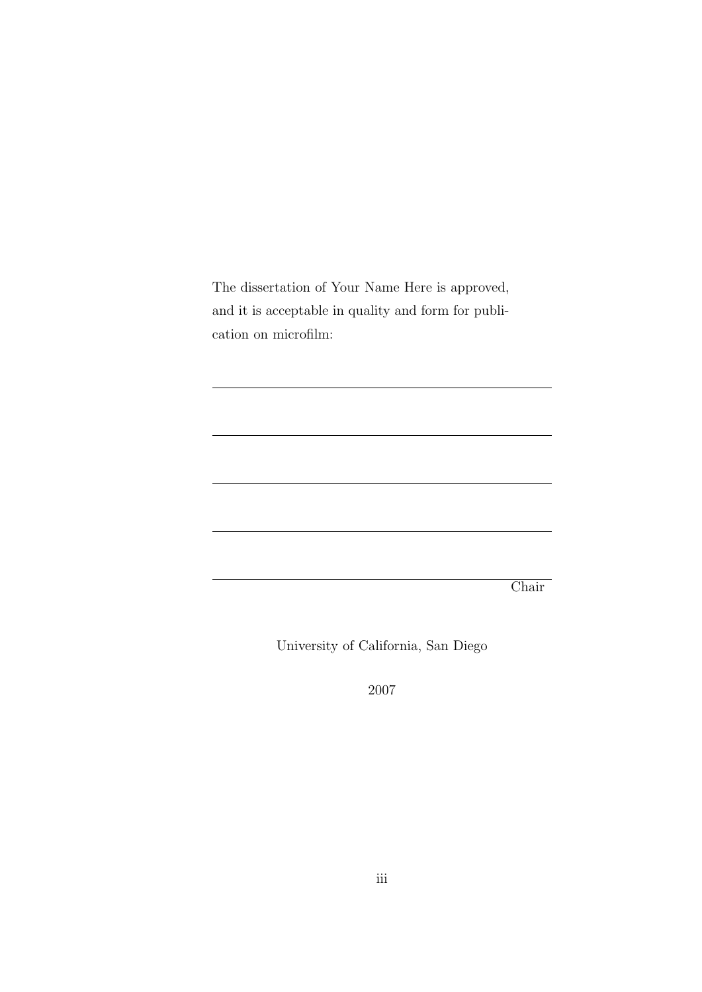The dissertation of Your Name Here is approved, and it is acceptable in quality and form for publication on microfilm:

Chair

University of California, San Diego

2007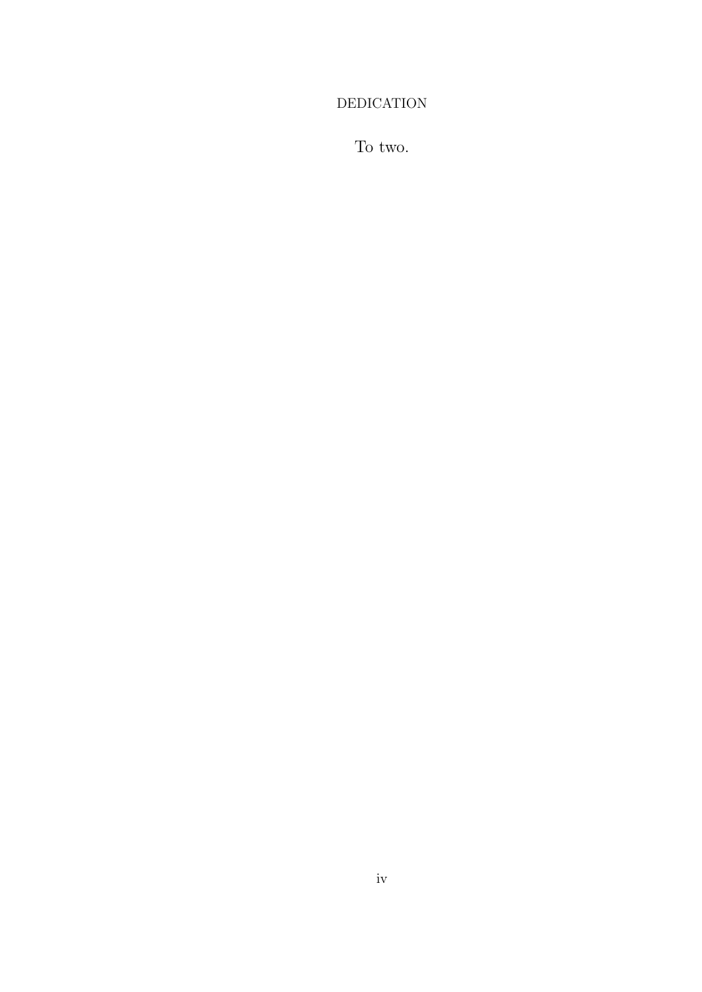#### **DEDICATION**

To two.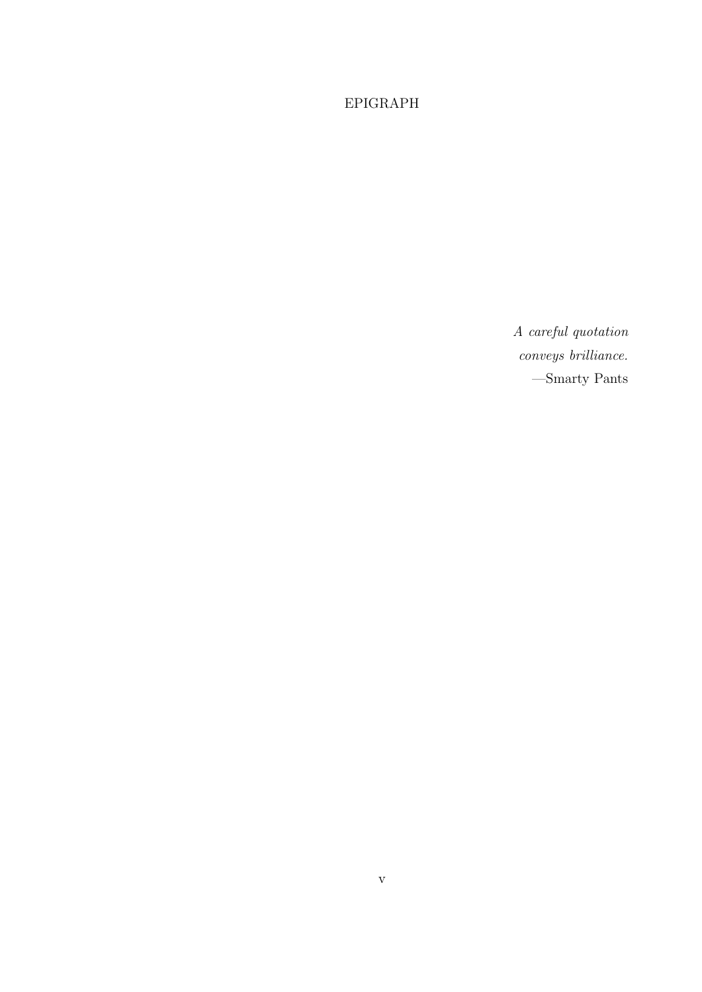#### $EPIGRAPH$

A careful quotation conveys brilliance.  $-\text{Smarty}$  Pants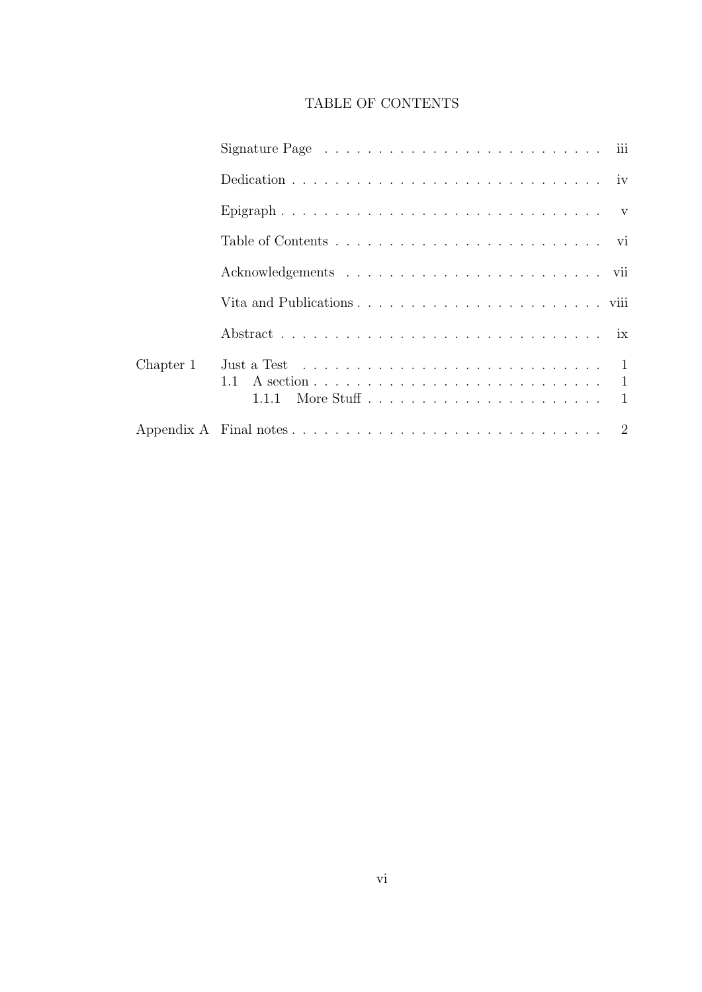#### TABLE OF CONTENTS

|           | Signature Page $\ldots \ldots \ldots \ldots \ldots \ldots \ldots \ldots \ldots \ldots$       |
|-----------|----------------------------------------------------------------------------------------------|
|           | Dedication $\ldots \ldots \ldots \ldots \ldots \ldots \ldots \ldots \ldots \ldots$           |
|           |                                                                                              |
|           |                                                                                              |
|           |                                                                                              |
|           |                                                                                              |
|           |                                                                                              |
| Chapter 1 | Just a Test $\ldots \ldots \ldots \ldots \ldots \ldots \ldots \ldots \ldots \ldots \ldots 1$ |
|           |                                                                                              |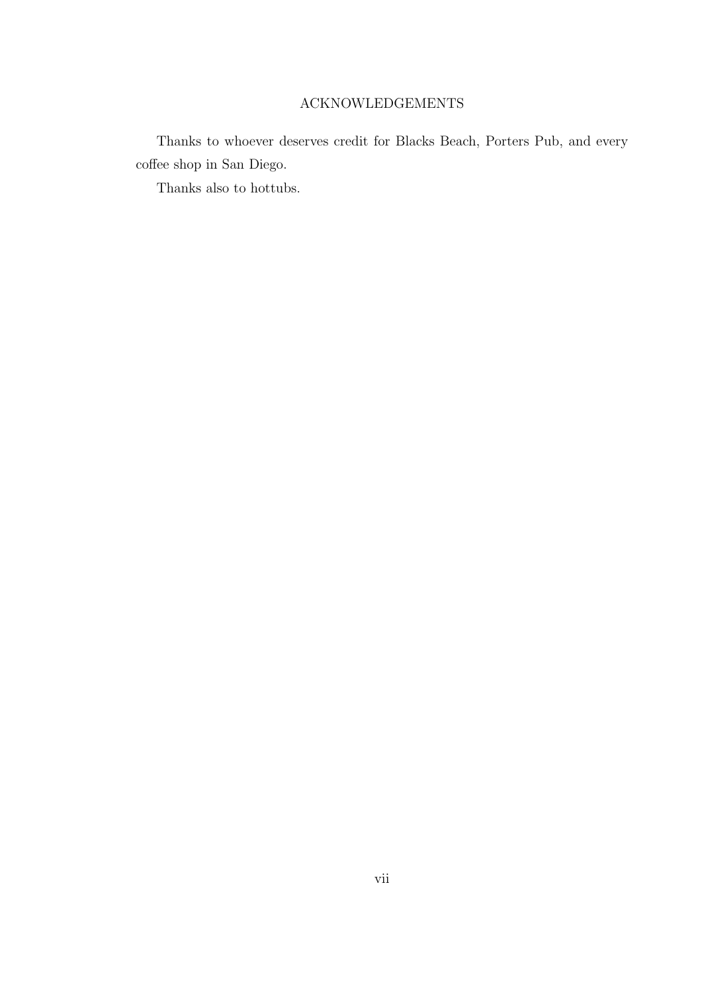#### ACKNOWLEDGEMENTS

Thanks to whoever deserves credit for Blacks Beach, Porters Pub, and every coffee shop in San Diego.

Thanks also to hottubs.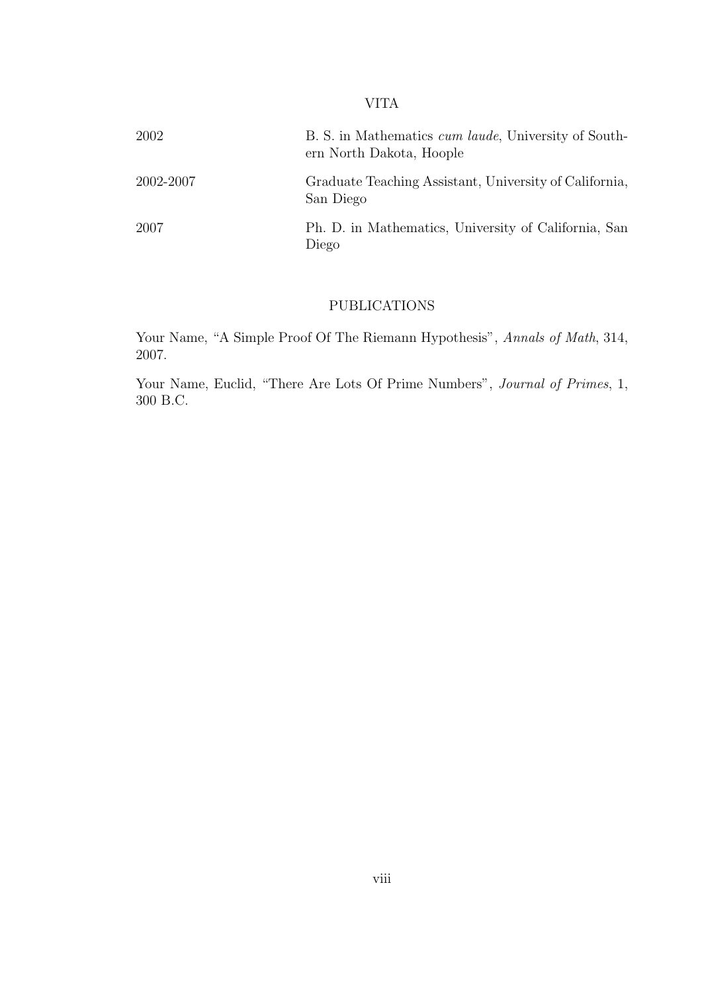#### VITA

| 2002      | B. S. in Mathematics <i>cum laude</i> , University of South-<br>ern North Dakota, Hoople |
|-----------|------------------------------------------------------------------------------------------|
| 2002-2007 | Graduate Teaching Assistant, University of California,<br>San Diego                      |
| 2007      | Ph. D. in Mathematics, University of California, San<br>Diego                            |

#### PUBLICATIONS

Your Name, "A Simple Proof Of The Riemann Hypothesis", Annals of Math, 314, 2007.

Your Name, Euclid, "There Are Lots Of Prime Numbers", Journal of Primes, 1, 300 B.C.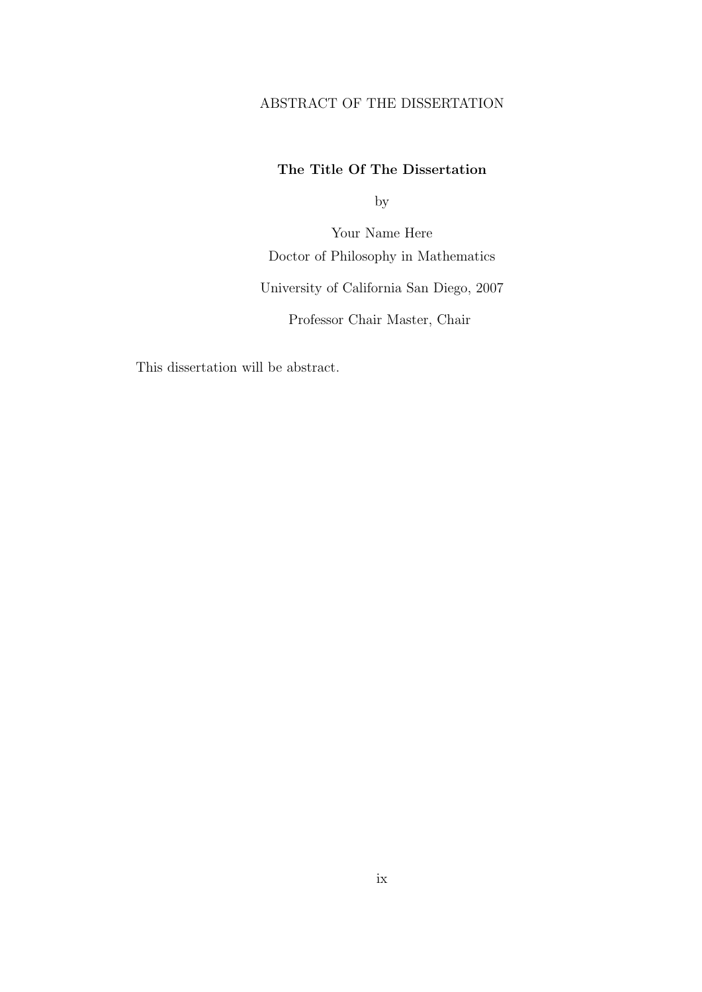#### ABSTRACT OF THE DISSERTATION

#### The Title Of The Dissertation

by

Your Name Here Doctor of Philosophy in Mathematics University of California San Diego, 2007 Professor Chair Master, Chair

This dissertation will be abstract.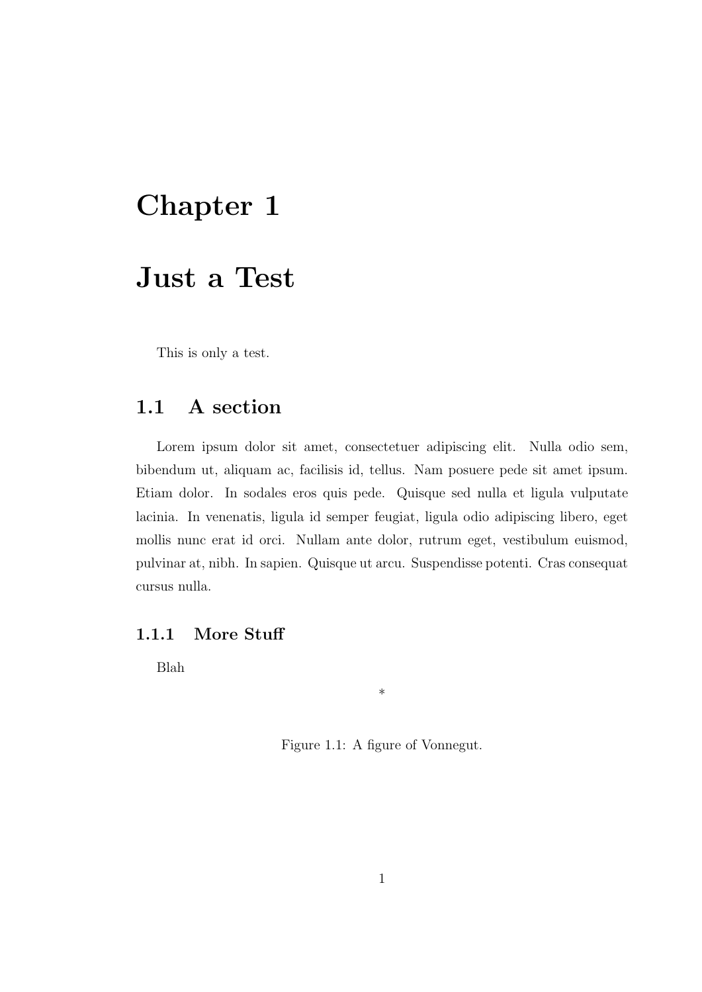## Chapter 1

### Just a Test

This is only a test.

#### 1.1 A section

Lorem ipsum dolor sit amet, consectetuer adipiscing elit. Nulla odio sem, bibendum ut, aliquam ac, facilisis id, tellus. Nam posuere pede sit amet ipsum. Etiam dolor. In sodales eros quis pede. Quisque sed nulla et ligula vulputate lacinia. In venenatis, ligula id semper feugiat, ligula odio adipiscing libero, eget mollis nunc erat id orci. Nullam ante dolor, rutrum eget, vestibulum euismod, pulvinar at, nibh. In sapien. Quisque ut arcu. Suspendisse potenti. Cras consequat cursus nulla.

#### 1.1.1 More Stuff

Blah

Figure 1.1: A figure of Vonnegut.

\*